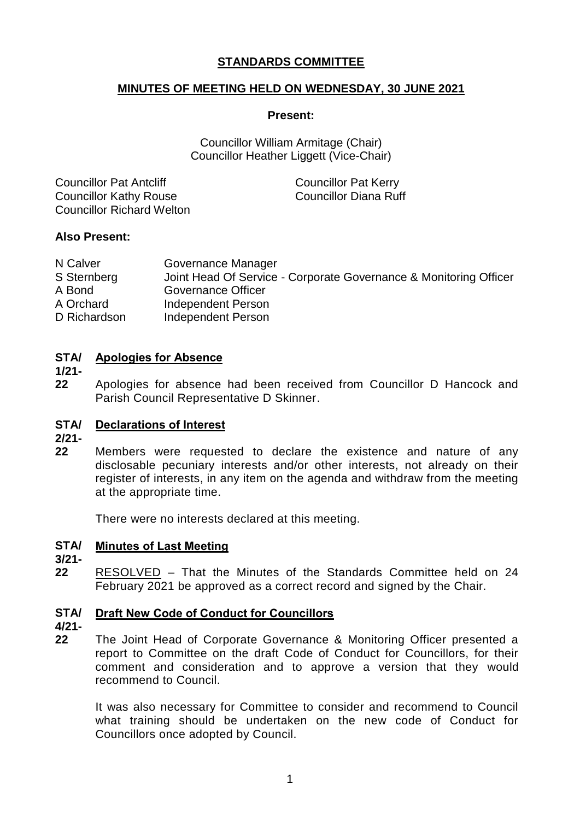# **STANDARDS COMMITTEE**

# **MINUTES OF MEETING HELD ON WEDNESDAY, 30 JUNE 2021**

### **Present:**

Councillor William Armitage (Chair) Councillor Heather Liggett (Vice-Chair)

| <b>Councillor Pat Antcliff</b>   | <b>Councillor Pat Kerry</b> |
|----------------------------------|-----------------------------|
| <b>Councillor Kathy Rouse</b>    | Councillor Diana Ruff       |
| <b>Councillor Richard Welton</b> |                             |

## **Also Present:**

| N Calver     | Governance Manager                                                |
|--------------|-------------------------------------------------------------------|
| S Sternberg  | Joint Head Of Service - Corporate Governance & Monitoring Officer |
| A Bond       | Governance Officer                                                |
| A Orchard    | Independent Person                                                |
| D Richardson | Independent Person                                                |

## **STA/ Apologies for Absence**

- **1/21-**
- **22** Apologies for absence had been received from Councillor D Hancock and Parish Council Representative D Skinner.

# **STA/ Declarations of Interest**

- **2/21-**
- **22** Members were requested to declare the existence and nature of any disclosable pecuniary interests and/or other interests, not already on their register of interests, in any item on the agenda and withdraw from the meeting at the appropriate time.

There were no interests declared at this meeting.

#### **STA/ Minutes of Last Meeting**

## **3/21-**

**22** RESOLVED – That the Minutes of the Standards Committee held on 24 February 2021 be approved as a correct record and signed by the Chair.

#### **STA/ Draft New Code of Conduct for Councillors**

- **4/21-**
- **22** The Joint Head of Corporate Governance & Monitoring Officer presented a report to Committee on the draft Code of Conduct for Councillors, for their comment and consideration and to approve a version that they would recommend to Council.

It was also necessary for Committee to consider and recommend to Council what training should be undertaken on the new code of Conduct for Councillors once adopted by Council.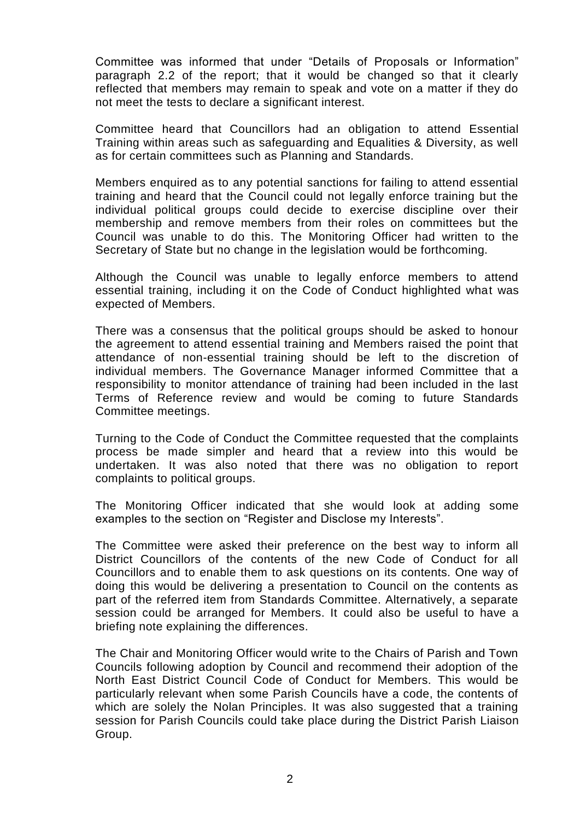Committee was informed that under "Details of Proposals or Information" paragraph 2.2 of the report; that it would be changed so that it clearly reflected that members may remain to speak and vote on a matter if they do not meet the tests to declare a significant interest.

Committee heard that Councillors had an obligation to attend Essential Training within areas such as safeguarding and Equalities & Diversity, as well as for certain committees such as Planning and Standards.

Members enquired as to any potential sanctions for failing to attend essential training and heard that the Council could not legally enforce training but the individual political groups could decide to exercise discipline over their membership and remove members from their roles on committees but the Council was unable to do this. The Monitoring Officer had written to the Secretary of State but no change in the legislation would be forthcoming.

Although the Council was unable to legally enforce members to attend essential training, including it on the Code of Conduct highlighted what was expected of Members.

There was a consensus that the political groups should be asked to honour the agreement to attend essential training and Members raised the point that attendance of non-essential training should be left to the discretion of individual members. The Governance Manager informed Committee that a responsibility to monitor attendance of training had been included in the last Terms of Reference review and would be coming to future Standards Committee meetings.

Turning to the Code of Conduct the Committee requested that the complaints process be made simpler and heard that a review into this would be undertaken. It was also noted that there was no obligation to report complaints to political groups.

The Monitoring Officer indicated that she would look at adding some examples to the section on "Register and Disclose my Interests".

The Committee were asked their preference on the best way to inform all District Councillors of the contents of the new Code of Conduct for all Councillors and to enable them to ask questions on its contents. One way of doing this would be delivering a presentation to Council on the contents as part of the referred item from Standards Committee. Alternatively, a separate session could be arranged for Members. It could also be useful to have a briefing note explaining the differences.

The Chair and Monitoring Officer would write to the Chairs of Parish and Town Councils following adoption by Council and recommend their adoption of the North East District Council Code of Conduct for Members. This would be particularly relevant when some Parish Councils have a code, the contents of which are solely the Nolan Principles. It was also suggested that a training session for Parish Councils could take place during the District Parish Liaison Group.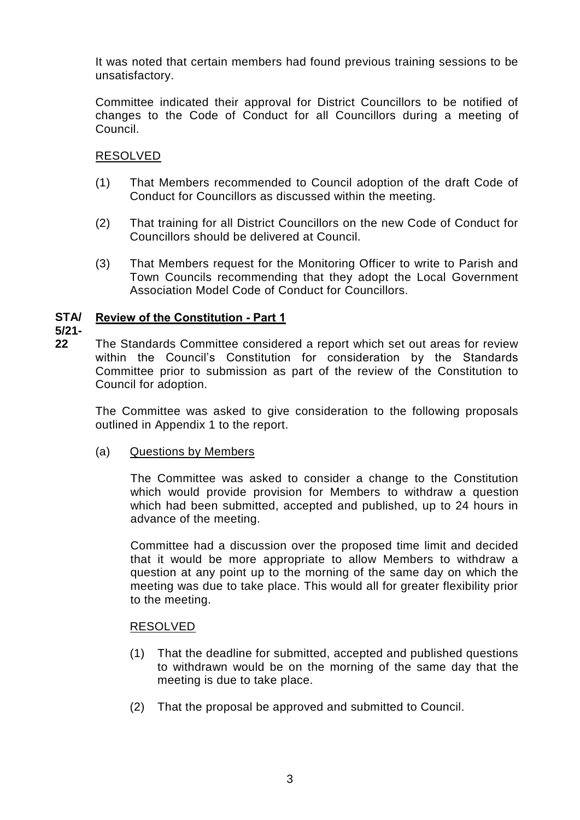It was noted that certain members had found previous training sessions to be unsatisfactory.

Committee indicated their approval for District Councillors to be notified of changes to the Code of Conduct for all Councillors during a meeting of Council.

# RESOLVED

- (1) That Members recommended to Council adoption of the draft Code of Conduct for Councillors as discussed within the meeting.
- (2) That training for all District Councillors on the new Code of Conduct for Councillors should be delivered at Council.
- (3) That Members request for the Monitoring Officer to write to Parish and Town Councils recommending that they adopt the Local Government Association Model Code of Conduct for Councillors.

#### **STA/ Review of the Constitution - Part 1**

**5/21-**

**22** The Standards Committee considered a report which set out areas for review within the Council's Constitution for consideration by the Standards Committee prior to submission as part of the review of the Constitution to Council for adoption.

The Committee was asked to give consideration to the following proposals outlined in Appendix 1 to the report.

# (a) Questions by Members

The Committee was asked to consider a change to the Constitution which would provide provision for Members to withdraw a question which had been submitted, accepted and published, up to 24 hours in advance of the meeting.

Committee had a discussion over the proposed time limit and decided that it would be more appropriate to allow Members to withdraw a question at any point up to the morning of the same day on which the meeting was due to take place. This would all for greater flexibility prior to the meeting.

## RESOLVED

- (1) That the deadline for submitted, accepted and published questions to withdrawn would be on the morning of the same day that the meeting is due to take place.
- (2) That the proposal be approved and submitted to Council.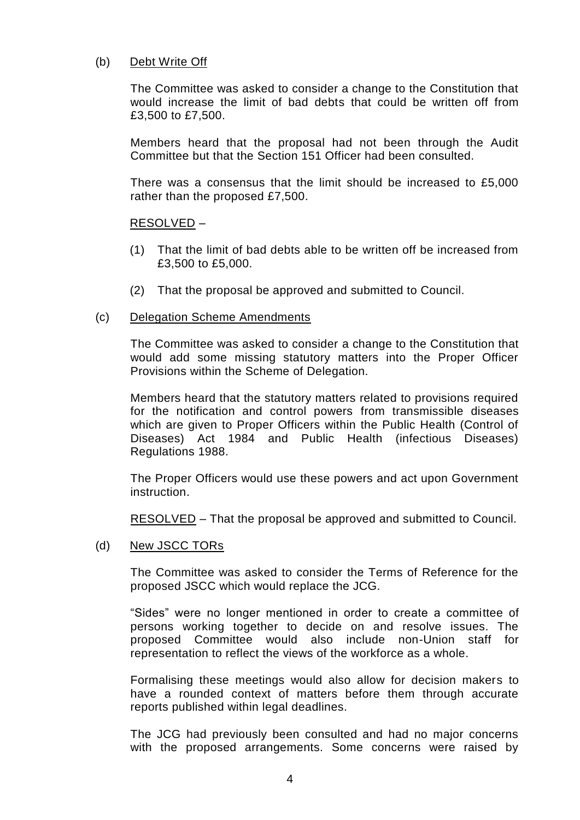### (b) Debt Write Off

The Committee was asked to consider a change to the Constitution that would increase the limit of bad debts that could be written off from £3,500 to £7,500.

Members heard that the proposal had not been through the Audit Committee but that the Section 151 Officer had been consulted.

There was a consensus that the limit should be increased to £5,000 rather than the proposed £7,500.

### RESOLVED –

- (1) That the limit of bad debts able to be written off be increased from £3,500 to £5,000.
- (2) That the proposal be approved and submitted to Council.

### (c) Delegation Scheme Amendments

The Committee was asked to consider a change to the Constitution that would add some missing statutory matters into the Proper Officer Provisions within the Scheme of Delegation.

Members heard that the statutory matters related to provisions required for the notification and control powers from transmissible diseases which are given to Proper Officers within the Public Health (Control of Diseases) Act 1984 and Public Health (infectious Diseases) Regulations 1988.

The Proper Officers would use these powers and act upon Government instruction.

RESOLVED – That the proposal be approved and submitted to Council.

### (d) New JSCC TORs

The Committee was asked to consider the Terms of Reference for the proposed JSCC which would replace the JCG.

"Sides" were no longer mentioned in order to create a committee of persons working together to decide on and resolve issues. The proposed Committee would also include non-Union staff for representation to reflect the views of the workforce as a whole.

Formalising these meetings would also allow for decision makers to have a rounded context of matters before them through accurate reports published within legal deadlines.

The JCG had previously been consulted and had no major concerns with the proposed arrangements. Some concerns were raised by